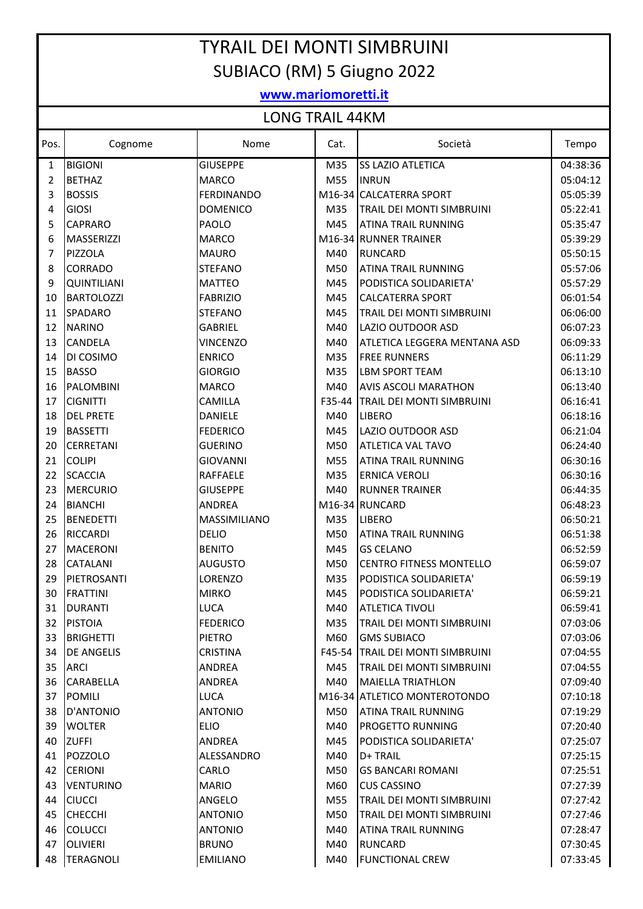## TYRAIL DEI MONTI SIMBRUINI SUBIACO (RM) 5 Giugno 2022

## **www.mariomoretti.it**

## LONG TRAIL 44KM

|          | ועורדד בורגוני שיושב |                        |            |                                                        |                      |
|----------|----------------------|------------------------|------------|--------------------------------------------------------|----------------------|
| Pos.     | Cognome              | Nome                   | Cat.       | Società                                                | Tempo                |
| 1        | <b>BIGIONI</b>       | <b>GIUSEPPE</b>        | M35        | <b>SS LAZIO ATLETICA</b>                               | 04:38:36             |
| 2        | <b>BETHAZ</b>        | <b>MARCO</b>           | M55        | <b>INRUN</b>                                           | 05:04:12             |
| 3        | <b>BOSSIS</b>        | <b>FERDINANDO</b>      | M16-34     | <b>CALCATERRA SPORT</b>                                | 05:05:39             |
| 4        | <b>GIOSI</b>         | <b>DOMENICO</b>        | M35        | TRAIL DEI MONTI SIMBRUINI                              | 05:22:41             |
| 5        | <b>CAPRARO</b>       | PAOLO                  | M45        | <b>ATINA TRAIL RUNNING</b>                             | 05:35:47             |
| 6        | MASSERIZZI           | <b>MARCO</b>           |            | M16-34 RUNNER TRAINER                                  | 05:39:29             |
| 7        | PIZZOLA              | <b>MAURO</b>           | M40        | <b>RUNCARD</b>                                         | 05:50:15             |
| 8        | <b>CORRADO</b>       | <b>STEFANO</b>         | M50        | <b>ATINA TRAIL RUNNING</b>                             | 05:57:06             |
| 9        | <b>QUINTILIANI</b>   | <b>MATTEO</b>          | M45        | PODISTICA SOLIDARIETA'                                 | 05:57:29             |
| 10       | <b>BARTOLOZZI</b>    | <b>FABRIZIO</b>        | M45        | <b>CALCATERRA SPORT</b>                                | 06:01:54             |
| 11       | <b>SPADARO</b>       | <b>STEFANO</b>         | M45        | TRAIL DEI MONTI SIMBRUINI                              | 06:06:00             |
| 12       | <b>NARINO</b>        | <b>GABRIEL</b>         | M40        | LAZIO OUTDOOR ASD                                      | 06:07:23             |
| 13       | CANDELA              | <b>VINCENZO</b>        | M40        | ATLETICA LEGGERA MENTANA ASD                           | 06:09:33             |
| 14       | DI COSIMO            | <b>ENRICO</b>          | M35        | <b>FREE RUNNERS</b>                                    | 06:11:29             |
| 15       | <b>BASSO</b>         | <b>GIORGIO</b>         | M35        | <b>LBM SPORT TEAM</b>                                  | 06:13:10             |
| 16       | <b>PALOMBINI</b>     | <b>MARCO</b>           | M40        | <b>AVIS ASCOLI MARATHON</b>                            | 06:13:40             |
| 17       | <b>CIGNITTI</b>      | <b>CAMILLA</b>         | F35-44     | TRAIL DEI MONTI SIMBRUINI                              | 06:16:41             |
| 18       | <b>DEL PRETE</b>     | <b>DANIELE</b>         | M40        | <b>LIBERO</b>                                          | 06:18:16             |
| 19       | <b>BASSETTI</b>      | <b>FEDERICO</b>        | M45        | LAZIO OUTDOOR ASD                                      | 06:21:04             |
| 20       | <b>CERRETANI</b>     | <b>GUERINO</b>         | M50        | ATLETICA VAL TAVO                                      | 06:24:40             |
| 21       | <b>COLIPI</b>        | <b>GIOVANNI</b>        | M55        | <b>ATINA TRAIL RUNNING</b>                             | 06:30:16             |
| 22       | <b>SCACCIA</b>       | <b>RAFFAELE</b>        | M35        | <b>ERNICA VEROLI</b>                                   | 06:30:16             |
| 23       | <b>MERCURIO</b>      | <b>GIUSEPPE</b>        | M40        | <b>RUNNER TRAINER</b>                                  | 06:44:35             |
| 24       | <b>BIANCHI</b>       | <b>ANDREA</b>          |            | M16-34 RUNCARD                                         | 06:48:23             |
| 25       | <b>BENEDETTI</b>     | MASSIMILIANO           | M35        | <b>LIBERO</b>                                          | 06:50:21             |
| 26       | <b>RICCARDI</b>      | <b>DELIO</b>           | M50        | <b>ATINA TRAIL RUNNING</b>                             | 06:51:38             |
| 27       | <b>MACERONI</b>      | <b>BENITO</b>          | M45        | <b>GS CELANO</b>                                       | 06:52:59             |
| 28       | CATALANI             | <b>AUGUSTO</b>         | M50        | <b>CENTRO FITNESS MONTELLO</b>                         | 06:59:07             |
| 29       | PIETROSANTI          | <b>LORENZO</b>         | M35        | PODISTICA SOLIDARIETA'                                 | 06:59:19             |
| 30       | <b>FRATTINI</b>      | <b>MIRKO</b>           | M45        | PODISTICA SOLIDARIETA'                                 | 06:59:21             |
| 31       | DURANTI              | <b>LUCA</b>            | M40        | <b>ATLETICA TIVOLI</b>                                 | 06:59:41             |
| 32       | <b>PISTOIA</b>       | <b>FEDERICO</b>        | M35        | TRAIL DEI MONTI SIMBRUINI                              | 07:03:06             |
| 33       | <b>BRIGHETTI</b>     | <b>PIETRO</b>          | M60        | <b>GMS SUBIACO</b>                                     | 07:03:06             |
| 34       | <b>DE ANGELIS</b>    | <b>CRISTINA</b>        | F45-54     | <b>TRAIL DEI MONTI SIMBRUINI</b>                       | 07:04:55             |
| 35       | IARCI                | ANDREA                 | M45        | TRAIL DEI MONTI SIMBRUINI                              | 07:04:55             |
| 36       | <b>CARABELLA</b>     | ANDREA                 | M40        | <b>MAIELLA TRIATHLON</b>                               | 07:09:40             |
| 37       | <b>POMILI</b>        | <b>LUCA</b>            |            | M16-34 ATLETICO MONTEROTONDO                           | 07:10:18             |
| 38       | D'ANTONIO            | <b>ANTONIO</b>         | M50        | <b>ATINA TRAIL RUNNING</b>                             | 07:19:29             |
| 39       | <b>WOLTER</b>        | <b>ELIO</b>            | M40        | PROGETTO RUNNING                                       | 07:20:40             |
| 40       | <b>ZUFFI</b>         | ANDREA                 | M45        | PODISTICA SOLIDARIETA'                                 | 07:25:07             |
| 41       | POZZOLO              | ALESSANDRO             | M40        | D+ TRAIL                                               | 07:25:15             |
| 42       | <b>CERIONI</b>       | CARLO                  | M50        | <b>GS BANCARI ROMANI</b>                               | 07:25:51             |
|          |                      |                        |            |                                                        |                      |
| 43<br>44 | <b>VENTURINO</b>     | <b>MARIO</b><br>ANGELO | M60<br>M55 | <b>CUS CASSINO</b><br><b>TRAIL DEI MONTI SIMBRUINI</b> | 07:27:39<br>07:27:42 |
|          | <b>CIUCCI</b>        |                        |            | <b>TRAIL DEI MONTI SIMBRUINI</b>                       |                      |
| 45       | <b>CHECCHI</b>       | <b>ANTONIO</b>         | M50        |                                                        | 07:27:46             |
| 46       | <b>COLUCCI</b>       | <b>ANTONIO</b>         | M40        | ATINA TRAIL RUNNING                                    | 07:28:47             |
| 47       | <b>OLIVIERI</b>      | <b>BRUNO</b>           | M40        | <b>RUNCARD</b>                                         | 07:30:45             |
| 48       | TERAGNOLI            | <b>EMILIANO</b>        | M40        | <b>FUNCTIONAL CREW</b>                                 | 07:33:45             |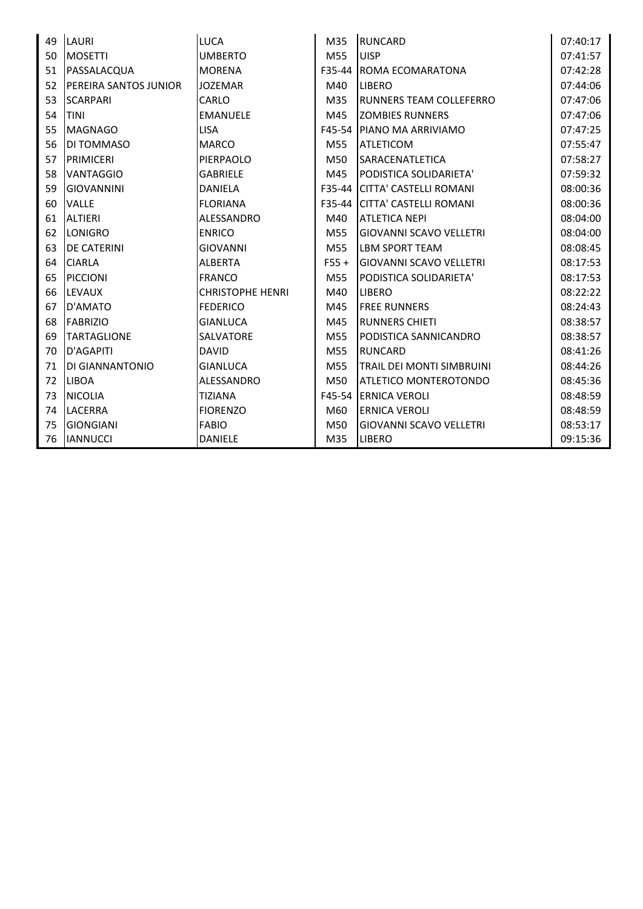| 49 | <b>LAURI</b>                  | <b>LUCA</b>             | M35             | <b>RUNCARD</b>                   | 07:40:17 |
|----|-------------------------------|-------------------------|-----------------|----------------------------------|----------|
| 50 | <b>MOSETTI</b>                | <b>UMBERTO</b>          | M55             | <b>UISP</b>                      | 07:41:57 |
| 51 | PASSALACQUA                   | <b>MORENA</b>           | F35-44          | ROMA ECOMARATONA                 | 07:42:28 |
| 52 | <b>IPEREIRA SANTOS JUNIOR</b> | <b>JOZEMAR</b>          | M40             | <b>LIBERO</b>                    | 07:44:06 |
| 53 | <b>SCARPARI</b>               | <b>CARLO</b>            | M35             | RUNNERS TEAM COLLEFERRO          | 07:47:06 |
| 54 | <b>ITINI</b>                  | <b>EMANUELE</b>         | M45             | <b>ZOMBIES RUNNERS</b>           | 07:47:06 |
| 55 | <b>IMAGNAGO</b>               | <b>LISA</b>             | F45-54          | <b>IPIANO MA ARRIVIAMO</b>       | 07:47:25 |
| 56 | <b>DI TOMMASO</b>             | <b>MARCO</b>            | M55             | <b>ATLETICOM</b>                 | 07:55:47 |
| 57 | PRIMICERI                     | PIERPAOLO               | M50             | <b>SARACENATLETICA</b>           | 07:58:27 |
| 58 | <b>VANTAGGIO</b>              | <b>GABRIELE</b>         | M45             | PODISTICA SOLIDARIETA'           | 07:59:32 |
| 59 | <b>GIOVANNINI</b>             | <b>DANIELA</b>          | F35-44          | İCITTA' CASTELLI ROMANI          | 08:00:36 |
| 60 | <b>VALLE</b>                  | <b>FLORIANA</b>         | F35-44          | CITTA' CASTELLI ROMANI           | 08:00:36 |
| 61 | <b>ALTIERI</b>                | ALESSANDRO              | M40             | <b>ATLETICA NEPI</b>             | 08:04:00 |
| 62 | LONIGRO                       | <b>ENRICO</b>           | M55             | <b>GIOVANNI SCAVO VELLETRI</b>   | 08:04:00 |
| 63 | <b>DE CATERINI</b>            | <b>GIOVANNI</b>         | M <sub>55</sub> | <b>LBM SPORT TEAM</b>            | 08:08:45 |
| 64 | <b>CIARLA</b>                 | <b>ALBERTA</b>          | $F55 +$         | <b>GIOVANNI SCAVO VELLETRI</b>   | 08:17:53 |
| 65 | PICCIONI                      | <b>FRANCO</b>           | M55             | PODISTICA SOLIDARIETA'           | 08:17:53 |
| 66 | <b>LEVAUX</b>                 | <b>CHRISTOPHE HENRI</b> | M40             | <b>LIBERO</b>                    | 08:22:22 |
| 67 | D'AMATO                       | <b>FEDERICO</b>         | M45             | <b>FREE RUNNERS</b>              | 08:24:43 |
| 68 | <b>FABRIZIO</b>               | <b>GIANLUCA</b>         | M45             | <b>RUNNERS CHIETI</b>            | 08:38:57 |
| 69 | <b>TARTAGLIONE</b>            | <b>SALVATORE</b>        | M55             | PODISTICA SANNICANDRO            | 08:38:57 |
| 70 | D'AGAPITI                     | <b>DAVID</b>            | M <sub>55</sub> | <b>RUNCARD</b>                   | 08:41:26 |
| 71 | IDI GIANNANTONIO              | <b>GIANLUCA</b>         | M <sub>55</sub> | <b>TRAIL DEI MONTI SIMBRUINI</b> | 08:44:26 |
| 72 | <b>LIBOA</b>                  | ALESSANDRO              | M50             | ATLETICO MONTEROTONDO            | 08:45:36 |
| 73 | <b>NICOLIA</b>                | <b>TIZIANA</b>          | F45-54          | <b>IERNICA VEROLI</b>            | 08:48:59 |
| 74 | <b>LACERRA</b>                | <b>FIORENZO</b>         | M60             | <b>ERNICA VEROLI</b>             | 08:48:59 |
| 75 | <b>GIONGIANI</b>              | <b>FABIO</b>            | M50             | <b>GIOVANNI SCAVO VELLETRI</b>   | 08:53:17 |
| 76 | <b>IANNUCCI</b>               | <b>DANIELE</b>          | M35             | <b>LIBERO</b>                    | 09:15:36 |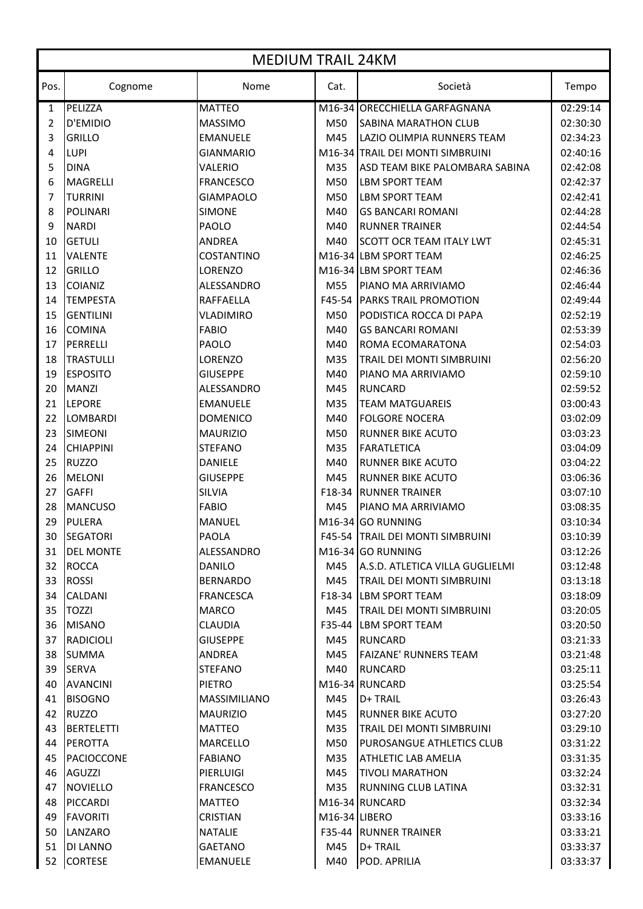|      | <b>MEDIUM TRAIL 24KM</b> |                     |                            |                                  |          |  |
|------|--------------------------|---------------------|----------------------------|----------------------------------|----------|--|
| Pos. | Cognome                  | Nome                | Cat.                       | Società                          | Tempo    |  |
| 1    | PELIZZA                  | <b>MATTEO</b>       |                            | M16-34 ORECCHIELLA GARFAGNANA    | 02:29:14 |  |
| 2    | D'EMIDIO                 | <b>MASSIMO</b>      | M50                        | <b>SABINA MARATHON CLUB</b>      | 02:30:30 |  |
| 3    | <b>GRILLO</b>            | <b>EMANUELE</b>     | M45                        | LAZIO OLIMPIA RUNNERS TEAM       | 02:34:23 |  |
| 4    | <b>LUPI</b>              | <b>GIANMARIO</b>    |                            | M16-34 TRAIL DEI MONTI SIMBRUINI | 02:40:16 |  |
| 5    | <b>DINA</b>              | VALERIO             | M35                        | ASD TEAM BIKE PALOMBARA SABINA   | 02:42:08 |  |
| 6    | <b>MAGRELLI</b>          | <b>FRANCESCO</b>    | M50                        | <b>LBM SPORT TEAM</b>            | 02:42:37 |  |
| 7    | <b>TURRINI</b>           | <b>GIAMPAOLO</b>    | M50                        | <b>LBM SPORT TEAM</b>            | 02:42:41 |  |
| 8    | <b>POLINARI</b>          | <b>SIMONE</b>       | M40                        | <b>GS BANCARI ROMANI</b>         | 02:44:28 |  |
| 9    | <b>NARDI</b>             | PAOLO               | M40                        | <b>RUNNER TRAINER</b>            | 02:44:54 |  |
| 10   | <b>GETULI</b>            | <b>ANDREA</b>       | M40                        | <b>SCOTT OCR TEAM ITALY LWT</b>  | 02:45:31 |  |
| 11   | <b>VALENTE</b>           | <b>COSTANTINO</b>   |                            | M16-34 LBM SPORT TEAM            | 02:46:25 |  |
| 12   | <b>GRILLO</b>            | <b>LORENZO</b>      |                            | M16-34 LBM SPORT TEAM            | 02:46:36 |  |
| 13   | <b>COIANIZ</b>           | ALESSANDRO          | M55                        | PIANO MA ARRIVIAMO               | 02:46:44 |  |
| 14   | <b>TEMPESTA</b>          | <b>RAFFAELLA</b>    | F45-54                     | <b>PARKS TRAIL PROMOTION</b>     | 02:49:44 |  |
| 15   | <b>GENTILINI</b>         | <b>VLADIMIRO</b>    | M50                        | PODISTICA ROCCA DI PAPA          | 02:52:19 |  |
| 16   | <b>COMINA</b>            | <b>FABIO</b>        | M40                        | <b>GS BANCARI ROMANI</b>         | 02:53:39 |  |
| 17   | PERRELLI                 | PAOLO               | M40                        | ROMA ECOMARATONA                 | 02:54:03 |  |
| 18   | <b>TRASTULLI</b>         | LORENZO             | M35                        | TRAIL DEI MONTI SIMBRUINI        | 02:56:20 |  |
| 19   | <b>ESPOSITO</b>          | <b>GIUSEPPE</b>     | M40                        | PIANO MA ARRIVIAMO               | 02:59:10 |  |
| 20   | <b>MANZI</b>             | ALESSANDRO          | M45                        | <b>RUNCARD</b>                   | 02:59:52 |  |
| 21   | <b>LEPORE</b>            | <b>EMANUELE</b>     | M35                        | <b>TEAM MATGUAREIS</b>           | 03:00:43 |  |
| 22   | <b>LOMBARDI</b>          | <b>DOMENICO</b>     | M40                        | <b>FOLGORE NOCERA</b>            | 03:02:09 |  |
| 23   | <b>SIMEONI</b>           | <b>MAURIZIO</b>     | M50                        | <b>RUNNER BIKE ACUTO</b>         | 03:03:23 |  |
| 24   | <b>CHIAPPINI</b>         | <b>STEFANO</b>      | M35                        | <b>FARATLETICA</b>               | 03:04:09 |  |
| 25   | <b>RUZZO</b>             | <b>DANIELE</b>      | M40                        | <b>RUNNER BIKE ACUTO</b>         | 03:04:22 |  |
| 26   | <b>MELONI</b>            | <b>GIUSEPPE</b>     | M45                        | <b>RUNNER BIKE ACUTO</b>         | 03:06:36 |  |
| 27   | <b>GAFFI</b>             | <b>SILVIA</b>       | F18-34                     | <b>RUNNER TRAINER</b>            | 03:07:10 |  |
| 28   | <b>MANCUSO</b>           | <b>FABIO</b>        | M45                        | PIANO MA ARRIVIAMO               | 03:08:35 |  |
| 29   | <b>PULERA</b>            | <b>MANUEL</b>       |                            | M <sub>16</sub> -34 GO RUNNING   | 03:10:34 |  |
| 30.  | SEGATORI                 | <b>PAOLA</b>        |                            | F45-54 TRAIL DEI MONTI SIMBRUINI | 03:10:39 |  |
| 31   | <b>DEL MONTE</b>         | ALESSANDRO          |                            | M <sub>16</sub> -34 GO RUNNING   | 03:12:26 |  |
| 32   | <b>ROCCA</b>             | <b>DANILO</b>       | M45                        | A.S.D. ATLETICA VILLA GUGLIELMI  | 03:12:48 |  |
| 33   | <b>ROSSI</b>             | <b>BERNARDO</b>     | M45                        | <b>TRAIL DEI MONTI SIMBRUINI</b> | 03:13:18 |  |
| 34   | <b>CALDANI</b>           | <b>FRANCESCA</b>    |                            | F18-34 LBM SPORT TEAM            | 03:18:09 |  |
| 35   | <b>TOZZI</b>             | <b>MARCO</b>        | M45                        | <b>TRAIL DEI MONTI SIMBRUINI</b> | 03:20:05 |  |
| 36   | <b>MISANO</b>            | <b>CLAUDIA</b>      |                            | F35-44 LBM SPORT TEAM            | 03:20:50 |  |
| 37   | <b>RADICIOLI</b>         | <b>GIUSEPPE</b>     | M45                        | RUNCARD                          | 03:21:33 |  |
| 38   | <b>SUMMA</b>             | <b>ANDREA</b>       | M45                        | <b>FAIZANE' RUNNERS TEAM</b>     | 03:21:48 |  |
| 39   | <b>SERVA</b>             | <b>STEFANO</b>      | M40                        | <b>RUNCARD</b>                   | 03:25:11 |  |
| 40   | <b>AVANCINI</b>          | <b>PIETRO</b>       |                            | M16-34 RUNCARD                   | 03:25:54 |  |
| 41   | <b>BISOGNO</b>           | <b>MASSIMILIANO</b> | M45                        | D+ TRAIL                         | 03:26:43 |  |
| 42   | <b>RUZZO</b>             | <b>MAURIZIO</b>     | M45                        | <b>RUNNER BIKE ACUTO</b>         | 03:27:20 |  |
| 43   | <b>BERTELETTI</b>        | <b>MATTEO</b>       | M35                        | <b>TRAIL DEI MONTI SIMBRUINI</b> | 03:29:10 |  |
| 44   | <b>PEROTTA</b>           | <b>MARCELLO</b>     | M50                        | <b>PUROSANGUE ATHLETICS CLUB</b> | 03:31:22 |  |
| 45   | PACIOCCONE               | <b>FABIANO</b>      | M35                        | <b>ATHLETIC LAB AMELIA</b>       | 03:31:35 |  |
| 46   | <b>AGUZZI</b>            | PIERLUIGI           | M45                        | <b>TIVOLI MARATHON</b>           | 03:32:24 |  |
| 47   | <b>NOVIELLO</b>          | <b>FRANCESCO</b>    | M35                        | <b>RUNNING CLUB LATINA</b>       | 03:32:31 |  |
| 48   | <b>PICCARDI</b>          | <b>MATTEO</b>       |                            | M16-34 RUNCARD                   | 03:32:34 |  |
| 49   | <b>FAVORITI</b>          | <b>CRISTIAN</b>     | M <sub>16</sub> -34 LIBERO |                                  | 03:33:16 |  |
| 50   | LANZARO                  | <b>NATALIE</b>      |                            | <b>F35-44 IRUNNER TRAINER</b>    | 03:33:21 |  |
| 51   | DI LANNO                 | <b>GAETANO</b>      | M45                        | D+ TRAIL                         | 03:33:37 |  |
|      |                          |                     |                            | POD. APRILIA                     |          |  |
| 52   | <b>CORTESE</b>           | <b>EMANUELE</b>     | M40                        |                                  | 03:33:37 |  |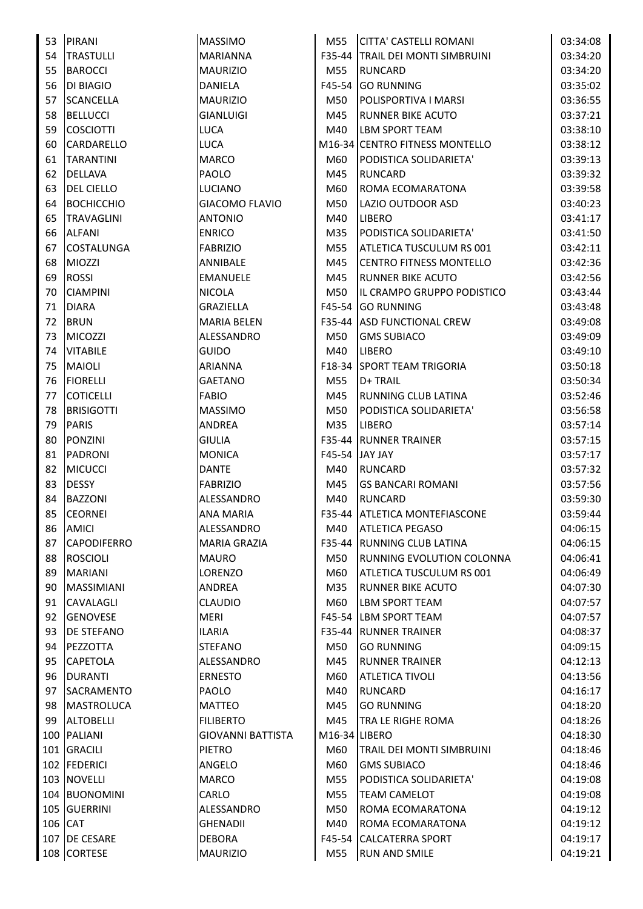| 53      | PIRANI             | <b>MASSIMO</b>           | M55           | <b>CITTA' CASTELLI ROMANI</b>     | 03:34:08 |
|---------|--------------------|--------------------------|---------------|-----------------------------------|----------|
| 54      | <b>TRASTULLI</b>   | <b>MARIANNA</b>          |               | F35-44 TRAIL DEI MONTI SIMBRUINI  | 03:34:20 |
| 55      | <b>BAROCCI</b>     | <b>MAURIZIO</b>          | M55           | RUNCARD                           | 03:34:20 |
| 56      | <b>DI BIAGIO</b>   | <b>DANIELA</b>           |               | F45-54 GO RUNNING                 | 03:35:02 |
| 57      | <b>SCANCELLA</b>   | <b>MAURIZIO</b>          | M50           | POLISPORTIVA I MARSI              | 03:36:55 |
|         |                    |                          |               |                                   |          |
| 58      | <b>BELLUCCI</b>    | <b>GIANLUIGI</b>         | M45           | <b>RUNNER BIKE ACUTO</b>          | 03:37:21 |
| 59      | <b>COSCIOTTI</b>   | LUCA                     | M40           | LBM SPORT TEAM                    | 03:38:10 |
| 60      | <b>CARDARELLO</b>  | <b>LUCA</b>              |               | M16-34 CENTRO FITNESS MONTELLO    | 03:38:12 |
| 61      | <b>TARANTINI</b>   | <b>MARCO</b>             | M60           | PODISTICA SOLIDARIETA'            | 03:39:13 |
| 62      | <b>DELLAVA</b>     | PAOLO                    | M45           | RUNCARD                           | 03:39:32 |
| 63      | <b>DEL CIELLO</b>  | LUCIANO                  | M60           | ROMA ECOMARATONA                  | 03:39:58 |
| 64      | <b>BOCHICCHIO</b>  | <b>GIACOMO FLAVIO</b>    | M50           | LAZIO OUTDOOR ASD                 | 03:40:23 |
| 65      | <b>TRAVAGLINI</b>  | <b>ANTONIO</b>           | M40           | <b>LIBERO</b>                     | 03:41:17 |
| 66      | <b>ALFANI</b>      | <b>ENRICO</b>            | M35           | PODISTICA SOLIDARIETA'            | 03:41:50 |
| 67      | <b>COSTALUNGA</b>  | <b>FABRIZIO</b>          | M55           | ATLETICA TUSCULUM RS 001          | 03:42:11 |
| 68      | <b>MIOZZI</b>      | ANNIBALE                 | M45           | <b>CENTRO FITNESS MONTELLO</b>    | 03:42:36 |
| 69      | <b>ROSSI</b>       | <b>EMANUELE</b>          | M45           | <b>RUNNER BIKE ACUTO</b>          | 03:42:56 |
| 70      | <b>CIAMPINI</b>    | <b>NICOLA</b>            | M50           | IL CRAMPO GRUPPO PODISTICO        | 03:43:44 |
| 71      | <b>DIARA</b>       | <b>GRAZIELLA</b>         |               | F45-54 GO RUNNING                 | 03:43:48 |
| 72      | <b>BRUN</b>        | <b>MARIA BELEN</b>       |               | F35-44 ASD FUNCTIONAL CREW        | 03:49:08 |
| 73      | <b>MICOZZI</b>     | ALESSANDRO               | M50           | <b>GMS SUBIACO</b>                | 03:49:09 |
| 74      | <b>VITABILE</b>    | <b>GUIDO</b>             | M40           | <b>LIBERO</b>                     | 03:49:10 |
| 75      | <b>MAIOLI</b>      | <b>ARIANNA</b>           |               | <b>F18-34 SPORT TEAM TRIGORIA</b> | 03:50:18 |
| 76      | <b>FIORELLI</b>    | <b>GAETANO</b>           | M55           | D+ TRAIL                          | 03:50:34 |
| 77      | <b>COTICELLI</b>   | <b>FABIO</b>             | M45           | RUNNING CLUB LATINA               | 03:52:46 |
| 78      | <b>BRISIGOTTI</b>  | <b>MASSIMO</b>           | M50           | PODISTICA SOLIDARIETA'            | 03:56:58 |
| 79      | <b>PARIS</b>       | ANDREA                   | M35           | <b>LIBERO</b>                     | 03:57:14 |
| 80      | <b>PONZINI</b>     | <b>GIULIA</b>            |               | <b>F35-44 RUNNER TRAINER</b>      | 03:57:15 |
| 81      | <b>PADRONI</b>     | <b>MONICA</b>            |               | F45-54 JAY JAY                    | 03:57:17 |
| 82      | <b>MICUCCI</b>     | <b>DANTE</b>             | M40           | <b>RUNCARD</b>                    | 03:57:32 |
| 83      | <b>DESSY</b>       | <b>FABRIZIO</b>          | M45           | <b>GS BANCARI ROMANI</b>          | 03:57:56 |
| 84      | <b>BAZZONI</b>     | ALESSANDRO               | M40           | <b>RUNCARD</b>                    | 03:59:30 |
| 85      | <b>CEORNEI</b>     | <b>ANA MARIA</b>         |               | F35-44 ATLETICA MONTEFIASCONE     | 03:59:44 |
| 86      | AMICI              | ALESSANDRO               | M40           | <b>ATLETICA PEGASO</b>            | 04:06:15 |
| 87      | <b>CAPODIFERRO</b> | <b>MARIA GRAZIA</b>      |               | F35-44 RUNNING CLUB LATINA        | 04:06:15 |
| 88      | <b>ROSCIOLI</b>    | <b>MAURO</b>             | M50           | <b>RUNNING EVOLUTION COLONNA</b>  | 04:06:41 |
| 89      | <b>MARIANI</b>     | LORENZO                  | M60           | <b>ATLETICA TUSCULUM RS 001</b>   | 04:06:49 |
| 90      | <b>MASSIMIANI</b>  | ANDREA                   | M35           | <b>RUNNER BIKE ACUTO</b>          | 04:07:30 |
| 91      | <b>CAVALAGLI</b>   | <b>CLAUDIO</b>           | M60           | LBM SPORT TEAM                    | 04:07:57 |
| 92      | <b>GENOVESE</b>    | MERI                     |               | F45-54 LBM SPORT TEAM             | 04:07:57 |
| 93      | <b>DE STEFANO</b>  | <b>ILARIA</b>            |               | <b>F35-44 RUNNER TRAINER</b>      | 04:08:37 |
| 94      | PEZZOTTA           | <b>STEFANO</b>           | M50           | <b>GO RUNNING</b>                 | 04:09:15 |
| 95      | <b>CAPETOLA</b>    | ALESSANDRO               | M45           | <b>RUNNER TRAINER</b>             | 04:12:13 |
| 96      | <b>DURANTI</b>     | <b>ERNESTO</b>           | M60           | <b>ATLETICA TIVOLI</b>            | 04:13:56 |
| 97      | SACRAMENTO         | PAOLO                    | M40           | <b>RUNCARD</b>                    | 04:16:17 |
| 98      | MASTROLUCA         | MATTEO                   | M45           | <b>GO RUNNING</b>                 | 04:18:20 |
| 99      | <b>ALTOBELLI</b>   | <b>FILIBERTO</b>         | M45           | TRA LE RIGHE ROMA                 | 04:18:26 |
|         | 100 PALIANI        | <b>GIOVANNI BATTISTA</b> | M16-34 LIBERO |                                   | 04:18:30 |
|         | 101 GRACILI        | <b>PIETRO</b>            | M60           | <b>TRAIL DEI MONTI SIMBRUINI</b>  | 04:18:46 |
|         | 102 FEDERICI       | ANGELO                   | M60           | <b>GMS SUBIACO</b>                | 04:18:46 |
|         | 103 NOVELLI        | <b>MARCO</b>             | M55           | PODISTICA SOLIDARIETA'            | 04:19:08 |
|         | 104 BUONOMINI      | CARLO                    | M55           | <b>TEAM CAMELOT</b>               | 04:19:08 |
|         | 105 GUERRINI       | ALESSANDRO               | M50           | ROMA ECOMARATONA                  | 04:19:12 |
| 106 CAT |                    | <b>GHENADII</b>          | M40           | ROMA ECOMARATONA                  | 04:19:12 |
|         | 107 DE CESARE      | <b>DEBORA</b>            |               | F45-54 CALCATERRA SPORT           | 04:19:17 |
|         | 108 CORTESE        |                          | M55           |                                   | 04:19:21 |
|         |                    | <b>MAURIZIO</b>          |               | RUN AND SMILE                     |          |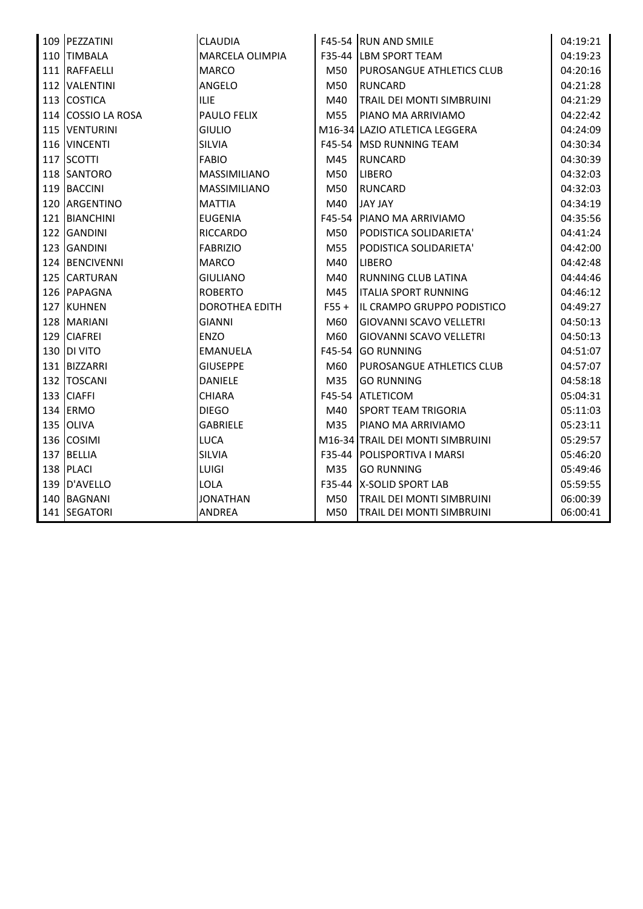|     | 109 PEZZATINI      | <b>CLAUDIA</b>        |         | F45-54 RUN AND SMILE             | 04:19:21 |
|-----|--------------------|-----------------------|---------|----------------------------------|----------|
| 110 | <b>TIMBALA</b>     | MARCELA OLIMPIA       |         | F35-44 LBM SPORT TEAM            | 04:19:23 |
|     | 111 RAFFAELLI      | <b>MARCO</b>          | M50     | <b>PUROSANGUE ATHLETICS CLUB</b> | 04:20:16 |
|     | 112 VALENTINI      | ANGELO                | M50     | <b>RUNCARD</b>                   | 04:21:28 |
|     | 113 COSTICA        | <b>ILIE</b>           | M40     | TRAIL DEI MONTI SIMBRUINI        | 04:21:29 |
|     | 114 COSSIO LA ROSA | PAULO FELIX           | M55     | PIANO MA ARRIVIAMO               | 04:22:42 |
|     | 115 VENTURINI      | <b>GIULIO</b>         |         | M16-34 LAZIO ATLETICA LEGGERA    | 04:24:09 |
|     | 116 VINCENTI       | <b>SILVIA</b>         |         | F45-54 MSD RUNNING TEAM          | 04:30:34 |
|     | 117 SCOTTI         | <b>FABIO</b>          | M45     | <b>RUNCARD</b>                   | 04:30:39 |
|     | 118 SANTORO        | MASSIMILIANO          | M50     | <b>LIBERO</b>                    | 04:32:03 |
|     | 119 BACCINI        | MASSIMILIANO          | M50     | <b>RUNCARD</b>                   | 04:32:03 |
|     | 120 ARGENTINO      | <b>MATTIA</b>         | M40     | <b>JAY JAY</b>                   | 04:34:19 |
|     | 121 BIANCHINI      | <b>EUGENIA</b>        | F45-54  | <b>IPIANO MA ARRIVIAMO</b>       | 04:35:56 |
|     | 122 GANDINI        | <b>RICCARDO</b>       | M50     | PODISTICA SOLIDARIETA'           | 04:41:24 |
|     | 123 GANDINI        | <b>FABRIZIO</b>       | M55     | PODISTICA SOLIDARIETA'           | 04:42:00 |
|     | 124 BENCIVENNI     | <b>MARCO</b>          | M40     | <b>LIBERO</b>                    | 04:42:48 |
|     | 125 CARTURAN       | <b>GIULIANO</b>       | M40     | RUNNING CLUB LATINA              | 04:44:46 |
|     | 126 PAPAGNA        | <b>ROBERTO</b>        | M45     | <b>ITALIA SPORT RUNNING</b>      | 04:46:12 |
|     | 127 KUHNEN         | <b>DOROTHEA EDITH</b> | $F55 +$ | IL CRAMPO GRUPPO PODISTICO       | 04:49:27 |
|     | 128 MARIANI        | <b>GIANNI</b>         | M60     | <b>GIOVANNI SCAVO VELLETRI</b>   | 04:50:13 |
|     | 129 CIAFREI        | ENZO                  | M60     | <b>GIOVANNI SCAVO VELLETRI</b>   | 04:50:13 |
|     | 130 DI VITO        | <b>EMANUELA</b>       | F45-54  | <b>GO RUNNING</b>                | 04:51:07 |
|     | 131 BIZZARRI       | <b>GIUSEPPE</b>       | M60     | PUROSANGUE ATHLETICS CLUB        | 04:57:07 |
|     | 132 TOSCANI        | DANIELE               | M35     | <b>GO RUNNING</b>                | 04:58:18 |
|     | 133 CIAFFI         | <b>CHIARA</b>         | F45-54  | <b>ATLETICOM</b>                 | 05:04:31 |
|     | 134 ERMO           | <b>DIEGO</b>          | M40     | <b>SPORT TEAM TRIGORIA</b>       | 05:11:03 |
|     | 135 OLIVA          | <b>GABRIELE</b>       | M35     | PIANO MA ARRIVIAMO               | 05:23:11 |
|     | 136 COSIMI         | LUCA                  |         | M16-34 TRAIL DEI MONTI SIMBRUINI | 05:29:57 |
| 137 | BELLIA             | <b>SILVIA</b>         |         | F35-44   POLISPORTIVA I MARSI    | 05:46:20 |
|     | 138 PLACI          | LUIGI                 | M35     | <b>GO RUNNING</b>                | 05:49:46 |
|     | 139 D'AVELLO       | LOLA                  |         | F35-44   X-SOLID SPORT LAB       | 05:59:55 |
| 140 | <b>BAGNANI</b>     | <b>JONATHAN</b>       | M50     | TRAIL DEI MONTI SIMBRUINI        | 06:00:39 |
|     | 141 SEGATORI       | ANDREA                | M50     | TRAIL DEI MONTI SIMBRUINI        | 06:00:41 |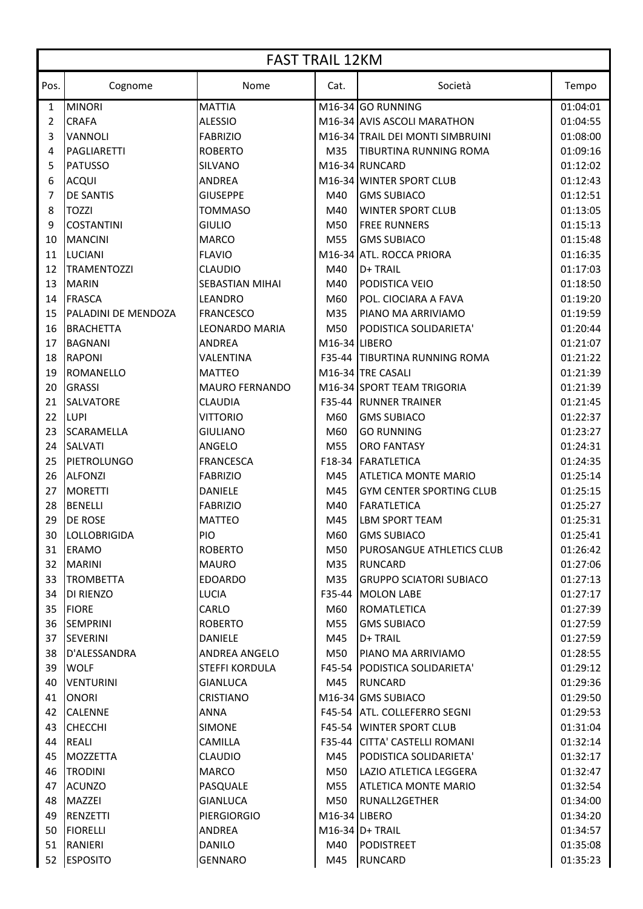|      | <b>FAST TRAIL 12KM</b> |                       |                            |                                        |          |  |
|------|------------------------|-----------------------|----------------------------|----------------------------------------|----------|--|
| Pos. | Cognome                | Nome                  | Cat.                       | Società                                | Tempo    |  |
| 1    | <b>MINORI</b>          | <b>MATTIA</b>         |                            | M16-34 GO RUNNING                      | 01:04:01 |  |
| 2    | <b>CRAFA</b>           | <b>ALESSIO</b>        |                            | M16-34 AVIS ASCOLI MARATHON            | 01:04:55 |  |
| 3    | <b>VANNOLI</b>         | <b>FABRIZIO</b>       |                            | M16-34 TRAIL DEI MONTI SIMBRUINI       | 01:08:00 |  |
| 4    | PAGLIARETTI            | <b>ROBERTO</b>        | M35                        | <b>TIBURTINA RUNNING ROMA</b>          | 01:09:16 |  |
| 5    | <b>PATUSSO</b>         | SILVANO               |                            | M16-34 RUNCARD                         | 01:12:02 |  |
| 6    | <b>ACQUI</b>           | <b>ANDREA</b>         |                            | M16-34 WINTER SPORT CLUB               | 01:12:43 |  |
| 7    | <b>DE SANTIS</b>       | <b>GIUSEPPE</b>       | M40                        | <b>GMS SUBIACO</b>                     | 01:12:51 |  |
| 8    | <b>TOZZI</b>           | <b>TOMMASO</b>        | M40                        | <b>WINTER SPORT CLUB</b>               | 01:13:05 |  |
| 9    | <b>COSTANTINI</b>      | <b>GIULIO</b>         | M50                        | <b>FREE RUNNERS</b>                    | 01:15:13 |  |
| 10   | <b>MANCINI</b>         | <b>MARCO</b>          | M55                        | <b>GMS SUBIACO</b>                     | 01:15:48 |  |
| 11   | <b>LUCIANI</b>         | <b>FLAVIO</b>         |                            | M16-34 ATL. ROCCA PRIORA               | 01:16:35 |  |
| 12   | <b>TRAMENTOZZI</b>     | <b>CLAUDIO</b>        | M40                        | D+ TRAIL                               | 01:17:03 |  |
| 13   | <b>MARIN</b>           | SEBASTIAN MIHAI       | M40                        | <b>PODISTICA VEIO</b>                  | 01:18:50 |  |
| 14   | <b>FRASCA</b>          | <b>LEANDRO</b>        | M60                        | POL. CIOCIARA A FAVA                   | 01:19:20 |  |
| 15   | PALADINI DE MENDOZA    | <b>FRANCESCO</b>      | M35                        | PIANO MA ARRIVIAMO                     | 01:19:59 |  |
| 16   | <b>BRACHETTA</b>       | <b>LEONARDO MARIA</b> | M50                        | PODISTICA SOLIDARIETA'                 | 01:20:44 |  |
| 17   | <b>BAGNANI</b>         | <b>ANDREA</b>         | M16-34 LIBERO              |                                        | 01:21:07 |  |
| 18   | <b>RAPONI</b>          | VALENTINA             |                            | F35-44 TIBURTINA RUNNING ROMA          | 01:21:22 |  |
| 19   | <b>ROMANELLO</b>       | <b>MATTEO</b>         |                            | M16-34 TRE CASALI                      | 01:21:39 |  |
| 20   | <b>GRASSI</b>          | <b>MAURO FERNANDO</b> |                            | M16-34 SPORT TEAM TRIGORIA             | 01:21:39 |  |
| 21   | <b>SALVATORE</b>       | <b>CLAUDIA</b>        |                            | <b>F35-44 RUNNER TRAINER</b>           | 01:21:45 |  |
| 22   | <b>LUPI</b>            | <b>VITTORIO</b>       | M60                        | <b>GMS SUBIACO</b>                     | 01:22:37 |  |
| 23   | <b>SCARAMELLA</b>      | <b>GIULIANO</b>       | M60                        | <b>GO RUNNING</b>                      | 01:23:27 |  |
| 24   | <b>SALVATI</b>         | ANGELO                | M55                        | <b>ORO FANTASY</b>                     | 01:24:31 |  |
| 25   | <b>PIETROLUNGO</b>     | <b>FRANCESCA</b>      | F18-34                     | FARATLETICA                            | 01:24:35 |  |
| 26   | <b>ALFONZI</b>         | <b>FABRIZIO</b>       | M45                        | <b>ATLETICA MONTE MARIO</b>            | 01:25:14 |  |
| 27   | <b>MORETTI</b>         | <b>DANIELE</b>        | M45                        | <b>GYM CENTER SPORTING CLUB</b>        | 01:25:15 |  |
| 28   | <b>BENELLI</b>         | <b>FABRIZIO</b>       | M40                        | <b>FARATLETICA</b>                     | 01:25:27 |  |
| 29   | <b>DE ROSE</b>         | <b>MATTEO</b>         | M45                        | <b>LBM SPORT TEAM</b>                  | 01:25:31 |  |
| 30   | <b>LOLLOBRIGIDA</b>    | PIO                   | M60                        | <b>GMS SUBIACO</b>                     | 01:25:41 |  |
| 31   | ERAMO                  | <b>ROBERTO</b>        | M50                        | <b>PUROSANGUE ATHLETICS CLUB</b>       | 01:26:42 |  |
| 32   | MARINI                 | <b>MAURO</b>          | M35                        | RUNCARD                                | 01:27:06 |  |
| 33   | <b>TROMBETTA</b>       | <b>EDOARDO</b>        | M35                        | <b>GRUPPO SCIATORI SUBIACO</b>         | 01:27:13 |  |
| 34   | <b>DI RIENZO</b>       | <b>LUCIA</b>          |                            | F35-44 MOLON LABE                      | 01:27:17 |  |
| 35   | <b>FIORE</b>           | CARLO                 | M60                        | <b>ROMATLETICA</b>                     | 01:27:39 |  |
| 36   | <b>SEMPRINI</b>        | <b>ROBERTO</b>        | M55                        | <b>GMS SUBIACO</b>                     | 01:27:59 |  |
| 37   | <b>SEVERINI</b>        | DANIELE               | M45                        | D+ TRAIL                               | 01:27:59 |  |
| 38   | D'ALESSANDRA           | <b>ANDREA ANGELO</b>  | M50                        | <b>IPIANO MA ARRIVIAMO</b>             | 01:28:55 |  |
| 39   | <b>WOLF</b>            | <b>STEFFI KORDULA</b> |                            | <b>F45-54   PODISTICA SOLIDARIETA'</b> | 01:29:12 |  |
| 40   | <b>VENTURINI</b>       | <b>GIANLUCA</b>       | M45                        | <b>RUNCARD</b>                         | 01:29:36 |  |
| 41   | <b>ONORI</b>           | <b>CRISTIANO</b>      |                            | M16-34 GMS SUBIACO                     | 01:29:50 |  |
| 42   | <b>CALENNE</b>         | ANNA                  |                            | F45-54 ATL. COLLEFERRO SEGNI           | 01:29:53 |  |
| 43   | <b>CHECCHI</b>         | <b>SIMONE</b>         |                            | <b>F45-54 WINTER SPORT CLUB</b>        | 01:31:04 |  |
| 44   | <b>REALI</b>           | <b>CAMILLA</b>        |                            | F35-44 CITTA' CASTELLI ROMANI          | 01:32:14 |  |
| 45   | <b>MOZZETTA</b>        | <b>CLAUDIO</b>        | M45                        | <b>PODISTICA SOLIDARIETA'</b>          | 01:32:17 |  |
| 46   | <b>TRODINI</b>         | <b>MARCO</b>          | M50                        | ILAZIO ATLETICA LEGGERA                | 01:32:47 |  |
| 47   | <b>ACUNZO</b>          | PASQUALE              | M55                        | IATLETICA MONTE MARIO                  | 01:32:54 |  |
| 48   | <b>MAZZEI</b>          | <b>GIANLUCA</b>       | M50                        | <b>RUNALL2GETHER</b>                   | 01:34:00 |  |
| 49   | <b>RENZETTI</b>        | <b>PIERGIORGIO</b>    | M <sub>16</sub> -34 LIBERO |                                        | 01:34:20 |  |
| 50   | <b>FIORELLI</b>        | ANDREA                |                            | $M16-34$ D+ TRAIL                      | 01:34:57 |  |
| 51   | <b>RANIERI</b>         | <b>DANILO</b>         | M40                        | PODISTREET                             | 01:35:08 |  |
| 52   | <b>ESPOSITO</b>        | <b>GENNARO</b>        | M45                        | <b>RUNCARD</b>                         | 01:35:23 |  |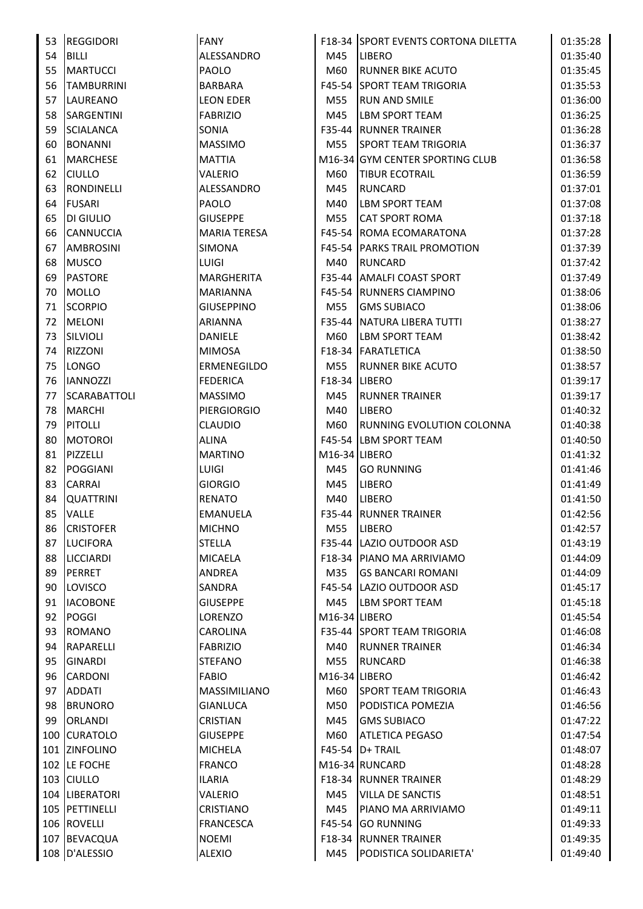| 53       | <b>REGGIDORI</b>    | <b>FANY</b>         |                            | F18-34 SPORT EVENTS CORTONA DILETTA | 01:35:28 |
|----------|---------------------|---------------------|----------------------------|-------------------------------------|----------|
| 54       | <b>BILLI</b>        | ALESSANDRO          | M45                        | <b>LIBERO</b>                       | 01:35:40 |
| 55       | <b>MARTUCCI</b>     | PAOLO               | M60                        | <b>RUNNER BIKE ACUTO</b>            | 01:35:45 |
| 56       | <b>TAMBURRINI</b>   | BARBARA             |                            | <b>F45-54 SPORT TEAM TRIGORIA</b>   | 01:35:53 |
| 57       | LAUREANO            | <b>LEON EDER</b>    | M55                        | <b>RUN AND SMILE</b>                | 01:36:00 |
| 58       | SARGENTINI          | <b>FABRIZIO</b>     | M45                        | <b>LBM SPORT TEAM</b>               | 01:36:25 |
| 59       | <b>SCIALANCA</b>    | SONIA               |                            | <b>F35-44 RUNNER TRAINER</b>        | 01:36:28 |
| 60       | <b>BONANNI</b>      | <b>MASSIMO</b>      | M55                        | <b>SPORT TEAM TRIGORIA</b>          | 01:36:37 |
| 61       | <b>MARCHESE</b>     | <b>MATTIA</b>       |                            | M16-34 GYM CENTER SPORTING CLUB     | 01:36:58 |
| 62       | <b>CIULLO</b>       | VALERIO             | M60                        | <b>TIBUR ECOTRAIL</b>               | 01:36:59 |
| 63       | <b>RONDINELLI</b>   | ALESSANDRO          | M45                        | RUNCARD                             | 01:37:01 |
| 64       | <b>FUSARI</b>       | PAOLO               | M40                        | <b>LBM SPORT TEAM</b>               | 01:37:08 |
| 65       | <b>DI GIULIO</b>    | <b>GIUSEPPE</b>     | M55                        | <b>CAT SPORT ROMA</b>               | 01:37:18 |
| 66       | <b>CANNUCCIA</b>    | <b>MARIA TERESA</b> |                            | F45-54   ROMA ECOMARATONA           | 01:37:28 |
| 67       | <b>AMBROSINI</b>    | SIMONA              |                            | <b>F45-54 PARKS TRAIL PROMOTION</b> | 01:37:39 |
| 68       | <b>MUSCO</b>        | <b>LUIGI</b>        | M40                        | <b>RUNCARD</b>                      | 01:37:42 |
|          |                     | <b>MARGHERITA</b>   |                            | F35-44 AMALFI COAST SPORT           |          |
| 69<br>70 | <b>PASTORE</b>      |                     |                            |                                     | 01:37:49 |
|          | <b>MOLLO</b>        | <b>MARIANNA</b>     |                            | F45-54 RUNNERS CIAMPINO             | 01:38:06 |
| 71       | <b>SCORPIO</b>      | <b>GIUSEPPINO</b>   | M55                        | <b>GMS SUBIACO</b>                  | 01:38:06 |
| 72       | <b>MELONI</b>       | <b>ARIANNA</b>      |                            | F35-44 NATURA LIBERA TUTTI          | 01:38:27 |
| 73       | SILVIOLI            | DANIELE             | M60                        | <b>LBM SPORT TEAM</b>               | 01:38:42 |
| 74       | <b>RIZZONI</b>      | <b>MIMOSA</b>       |                            | F18-34   FARATLETICA                | 01:38:50 |
| 75       | <b>LONGO</b>        | ERMENEGILDO         | M55                        | <b>RUNNER BIKE ACUTO</b>            | 01:38:57 |
| 76       | <b>IANNOZZI</b>     | <b>FEDERICA</b>     | F18-34   LIBERO            |                                     | 01:39:17 |
| 77       | <b>SCARABATTOLI</b> | <b>MASSIMO</b>      | M45                        | <b>RUNNER TRAINER</b>               | 01:39:17 |
| 78       | <b>MARCHI</b>       | <b>PIERGIORGIO</b>  | M40                        | <b>LIBERO</b>                       | 01:40:32 |
| 79       | <b>PITOLLI</b>      | <b>CLAUDIO</b>      | M60                        | <b>RUNNING EVOLUTION COLONNA</b>    | 01:40:38 |
| 80       | MOTOROI             | <b>ALINA</b>        |                            | F45-54 LBM SPORT TEAM               | 01:40:50 |
| 81       | PIZZELLI            | <b>MARTINO</b>      | M16-34 LIBERO              |                                     | 01:41:32 |
| 82       | <b>POGGIANI</b>     | <b>LUIGI</b>        | M45                        | <b>GO RUNNING</b>                   | 01:41:46 |
| 83       | <b>CARRAI</b>       | <b>GIORGIO</b>      | M45                        | <b>LIBERO</b>                       | 01:41:49 |
| 84       | <b>QUATTRINI</b>    | <b>RENATO</b>       | M40                        | <b>LIBERO</b>                       | 01:41:50 |
|          | 85 VALLE            | <b>EMANUELA</b>     |                            | F35-44 RUNNER TRAINER               | 01:42:56 |
| 86       | <b>CRISTOFER</b>    | <b>MICHNO</b>       | M55                        | <b>ILIBERO</b>                      | 01:42:57 |
| 87       | <b>LUCIFORA</b>     | <b>STELLA</b>       |                            | F35-44 LAZIO OUTDOOR ASD            | 01:43:19 |
| 88       | <b>LICCIARDI</b>    | <b>MICAELA</b>      |                            | F18-34   PIANO MA ARRIVIAMO         | 01:44:09 |
| 89       | PERRET              | <b>ANDREA</b>       | M35                        | <b>GS BANCARI ROMANI</b>            | 01:44:09 |
| 90       | LOVISCO             | SANDRA              |                            | F45-54 LAZIO OUTDOOR ASD            | 01:45:17 |
| 91       | <b>IACOBONE</b>     | <b>GIUSEPPE</b>     | M45                        | <b>LBM SPORT TEAM</b>               | 01:45:18 |
| 92       | <b>POGGI</b>        | LORENZO             | M <sub>16</sub> -34 LIBERO |                                     | 01:45:54 |
| 93       | <b>ROMANO</b>       | CAROLINA            |                            | <b>F35-44 SPORT TEAM TRIGORIA</b>   | 01:46:08 |
| 94       | <b>RAPARELLI</b>    | <b>FABRIZIO</b>     | M40                        | <b>RUNNER TRAINER</b>               | 01:46:34 |
| 95       | <b>GINARDI</b>      | STEFANO             | M55                        | <b>RUNCARD</b>                      | 01:46:38 |
| 96       | <b>CARDONI</b>      | <b>FABIO</b>        | M16-34 LIBERO              |                                     | 01:46:42 |
| 97       | <b>ADDATI</b>       | MASSIMILIANO        | M60                        | <b>SPORT TEAM TRIGORIA</b>          | 01:46:43 |
| 98       | <b>BRUNORO</b>      | GIANLUCA            | M50                        | <b>PODISTICA POMEZIA</b>            | 01:46:56 |
| 99       | ORLANDI             | <b>CRISTIAN</b>     | M45                        | <b>GMS SUBIACO</b>                  | 01:47:22 |
|          | 100 CURATOLO        | <b>GIUSEPPE</b>     | M60                        | <b>ATLETICA PEGASO</b>              | 01:47:54 |
|          | 101 ZINFOLINO       | <b>MICHELA</b>      |                            | F45-54   D+ TRAIL                   | 01:48:07 |
|          | 102 LE FOCHE        | <b>FRANCO</b>       |                            | M16-34 RUNCARD                      | 01:48:28 |
|          | 103 CIULLO          | ILARIA              |                            | <b>F18-34 RUNNER TRAINER</b>        | 01:48:29 |
|          | 104   LIBERATORI    | VALERIO             | M45                        | <b>VILLA DE SANCTIS</b>             | 01:48:51 |
|          | 105 PETTINELLI      | <b>CRISTIANO</b>    | M45                        | <b>PIANO MA ARRIVIAMO</b>           | 01:49:11 |
|          | 106 ROVELLI         | <b>FRANCESCA</b>    |                            | F45-54 GO RUNNING                   | 01:49:33 |
|          | 107 BEVACQUA        | <b>NOEMI</b>        |                            | <b>F18-34 RUNNER TRAINER</b>        | 01:49:35 |
|          | 108 D'ALESSIO       | <b>ALEXIO</b>       | M45                        | PODISTICA SOLIDARIETA'              | 01:49:40 |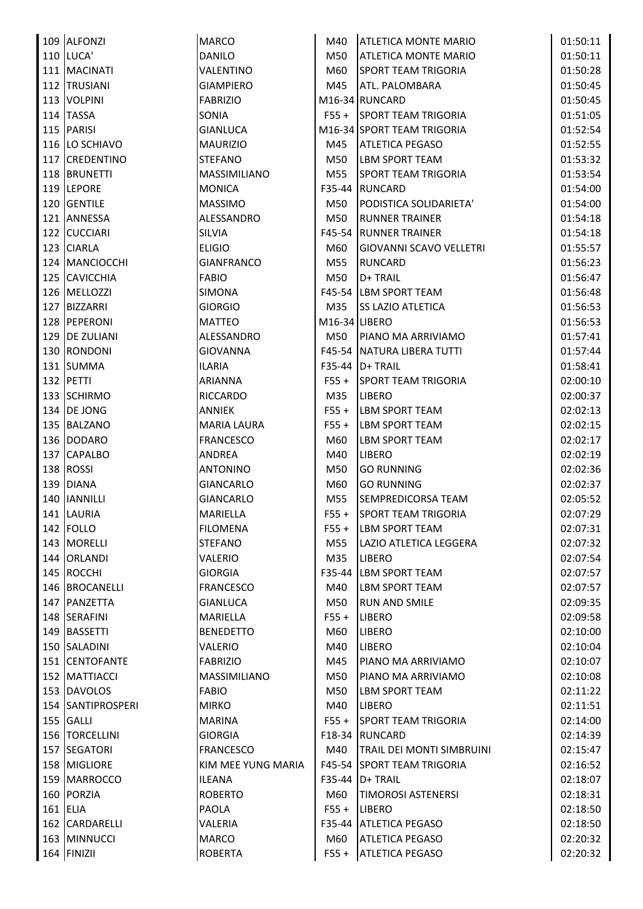| 109 ALFONZI       | <b>MARCO</b>                     | M40                        | <b>ATLETICA MONTE MARIO</b>            | 01:50:11             |
|-------------------|----------------------------------|----------------------------|----------------------------------------|----------------------|
| <b>110 LUCA'</b>  | <b>DANILO</b>                    | M50                        | <b>ATLETICA MONTE MARIO</b>            | 01:50:11             |
| 111 MACINATI      | <b>VALENTINO</b>                 | M60                        | <b>SPORT TEAM TRIGORIA</b>             | 01:50:28             |
| 112 TRUSIANI      | <b>GIAMPIERO</b>                 | M45                        | ATL. PALOMBARA                         | 01:50:45             |
| 113 VOLPINI       | <b>FABRIZIO</b>                  |                            | M16-34 RUNCARD                         | 01:50:45             |
| 114 TASSA         | <b>SONIA</b>                     |                            | F55 + SPORT TEAM TRIGORIA              | 01:51:05             |
| 115 PARISI        | <b>GIANLUCA</b>                  |                            | M16-34 SPORT TEAM TRIGORIA             | 01:52:54             |
| 116 LO SCHIAVO    | <b>MAURIZIO</b>                  | M45                        | <b>ATLETICA PEGASO</b>                 | 01:52:55             |
| 117 CREDENTINO    | <b>STEFANO</b>                   | M50                        | LBM SPORT TEAM                         | 01:53:32             |
| 118 BRUNETTI      | <b>MASSIMILIANO</b>              | M55                        | <b>SPORT TEAM TRIGORIA</b>             | 01:53:54             |
| 119 LEPORE        | <b>MONICA</b>                    | $F35-44$                   | <b>RUNCARD</b>                         | 01:54:00             |
| 120 GENTILE       | <b>MASSIMO</b>                   | M50                        | PODISTICA SOLIDARIETA'                 | 01:54:00             |
| 121 ANNESSA       | ALESSANDRO                       | M50                        | <b>RUNNER TRAINER</b>                  | 01:54:18             |
| 122 CUCCIARI      | <b>SILVIA</b>                    |                            | <b>F45-54 RUNNER TRAINER</b>           | 01:54:18             |
| 123 CIARLA        | <b>ELIGIO</b>                    | M60                        | GIOVANNI SCAVO VELLETRI                | 01:55:57             |
| 124   MANCIOCCHI  | <b>GIANFRANCO</b>                | M55                        | <b>RUNCARD</b>                         | 01:56:23             |
| 125 CAVICCHIA     | <b>FABIO</b>                     | M50                        | D+ TRAIL                               | 01:56:47             |
| 126 MELLOZZI      | <b>SIMONA</b>                    |                            | F45-54 LBM SPORT TEAM                  | 01:56:48             |
| 127 BIZZARRI      | <b>GIORGIO</b>                   | M35                        | <b>SS LAZIO ATLETICA</b>               | 01:56:53             |
| 128 PEPERONI      | <b>MATTEO</b>                    | M <sub>16</sub> -34 LIBERO |                                        | 01:56:53             |
| 129 DE ZULIANI    | ALESSANDRO                       | M50                        | PIANO MA ARRIVIAMO                     | 01:57:41             |
| 130 RONDONI       | <b>GIOVANNA</b>                  |                            | F45-54 NATURA LIBERA TUTTI             | 01:57:44             |
| 131 SUMMA         | <b>ILARIA</b>                    |                            | F35-44   D+ TRAIL                      | 01:58:41             |
| 132 PETTI         | ARIANNA                          | $F55 +$                    | <b>SPORT TEAM TRIGORIA</b>             | 02:00:10             |
| 133 SCHIRMO       |                                  |                            |                                        |                      |
| 134 DE JONG       | <b>RICCARDO</b><br><b>ANNIEK</b> | M35<br>$F55 +$             | <b>LIBERO</b><br><b>LBM SPORT TEAM</b> | 02:00:37<br>02:02:13 |
|                   |                                  |                            |                                        |                      |
| 135 BALZANO       | <b>MARIA LAURA</b>               | $F55 +$                    | <b>LBM SPORT TEAM</b>                  | 02:02:15             |
| 136 DODARO        | <b>FRANCESCO</b>                 | M60                        | LBM SPORT TEAM                         | 02:02:17             |
| 137 CAPALBO       | <b>ANDREA</b>                    | M40                        | LIBERO                                 | 02:02:19             |
| 138 ROSSI         | <b>ANTONINO</b>                  | M50                        | <b>GO RUNNING</b>                      | 02:02:36             |
| 139 DIANA         | <b>GIANCARLO</b>                 | M60                        | <b>GO RUNNING</b>                      | 02:02:37             |
| 140 IANNILLI      | <b>GIANCARLO</b>                 | M55                        | SEMPREDICORSA TEAM                     | 02:05:52             |
| 141 LAURIA        | <b>MARIELLA</b>                  |                            | F55 + SPORT TEAM TRIGORIA              | 02:07:29             |
| 142 FOLLO         | <b>FILOMENA</b>                  | $F55+$                     | <b>LBM SPORT TEAM</b>                  | 02:07:31             |
| 143 MORELLI       | <b>STEFANO</b>                   | M55                        | LAZIO ATLETICA LEGGERA                 | 02:07:32             |
| 144 ORLANDI       | <b>VALERIO</b>                   | M35                        | <b>LIBERO</b>                          | 02:07:54             |
| 145 ROCCHI        | <b>GIORGIA</b>                   | F35-44                     | LBM SPORT TEAM                         | 02:07:57             |
| 146 BROCANELLI    | <b>FRANCESCO</b>                 | M40                        | <b>LBM SPORT TEAM</b>                  | 02:07:57             |
| 147 PANZETTA      | <b>GIANLUCA</b>                  | M50                        | <b>RUN AND SMILE</b>                   | 02:09:35             |
| 148 SERAFINI      | <b>MARIELLA</b>                  | $F55 +$                    | <b>LIBERO</b>                          | 02:09:58             |
| 149 BASSETTI      | <b>BENEDETTO</b>                 | M60                        | LIBERO                                 | 02:10:00             |
| 150 SALADINI      | <b>VALERIO</b>                   | M40                        | <b>LIBERO</b>                          | 02:10:04             |
| 151 CENTOFANTE    | <b>FABRIZIO</b>                  | M45                        | PIANO MA ARRIVIAMO                     | 02:10:07             |
| 152 MATTIACCI     | <b>MASSIMILIANO</b>              | M50                        | PIANO MA ARRIVIAMO                     | 02:10:08             |
| 153 DAVOLOS       | <b>FABIO</b>                     | M50                        | <b>LBM SPORT TEAM</b>                  | 02:11:22             |
| 154 SANTIPROSPERI | <b>MIRKO</b>                     | M40                        | <b>LIBERO</b>                          | 02:11:51             |
| 155 GALLI         | <b>MARINA</b>                    | $F55 +$                    | <b>SPORT TEAM TRIGORIA</b>             | 02:14:00             |
| 156   TORCELLINI  | <b>GIORGIA</b>                   |                            | F18-34 RUNCARD                         | 02:14:39             |
| 157 SEGATORI      | <b>FRANCESCO</b>                 | M40                        | <b>TRAIL DEI MONTI SIMBRUINI</b>       | 02:15:47             |
| 158 MIGLIORE      | KIM MEE YUNG MARIA               |                            | F45-54 SPORT TEAM TRIGORIA             | 02:16:52             |
| 159 MARROCCO      | <b>ILEANA</b>                    | $F35-44$                   | D+ TRAIL                               | 02:18:07             |
| 160 PORZIA        | <b>ROBERTO</b>                   | M60                        | <b>TIMOROSI ASTENERSI</b>              | 02:18:31             |
| 161 ELIA          | <b>PAOLA</b>                     | $F55 +$                    | <b>LIBERO</b>                          | 02:18:50             |
| 162 CARDARELLI    | VALERIA                          | $F35-44$                   | <b>ATLETICA PEGASO</b>                 | 02:18:50             |
| 163 MINNUCCI      | <b>MARCO</b>                     | M60                        | <b>ATLETICA PEGASO</b>                 | 02:20:32             |
| 164 FINIZII       | <b>ROBERTA</b>                   | $F55+$                     | <b>ATLETICA PEGASO</b>                 | 02:20:32             |